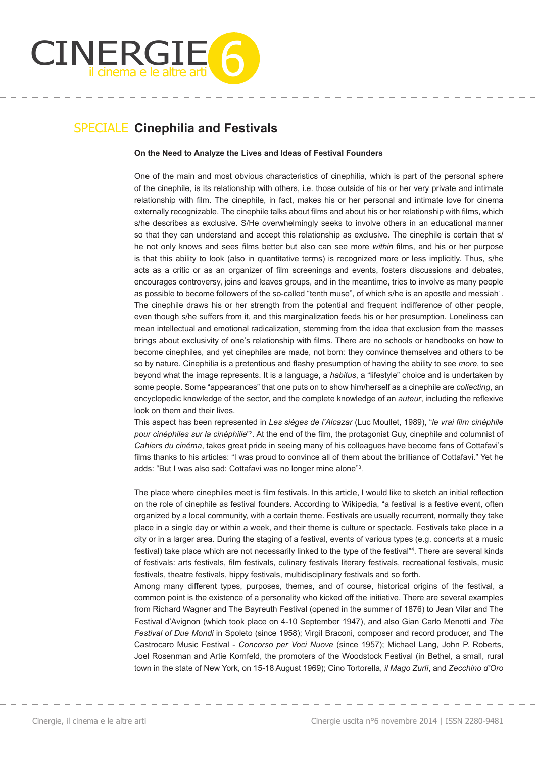

# SPECIALE **Cinephilia and Festivals**

### **On the Need to Analyze the Lives and Ideas of Festival Founders**

One of the main and most obvious characteristics of cinephilia, which is part of the personal sphere of the cinephile, is its relationship with others, i.e. those outside of his or her very private and intimate relationship with film. The cinephile, in fact, makes his or her personal and intimate love for cinema externally recognizable. The cinephile talks about films and about his or her relationship with films, which s/he describes as exclusive. S/He overwhelmingly seeks to involve others in an educational manner so that they can understand and accept this relationship as exclusive. The cinephile is certain that s/ he not only knows and sees films better but also can see more *within* films, and his or her purpose is that this ability to look (also in quantitative terms) is recognized more or less implicitly. Thus, s/he acts as a critic or as an organizer of film screenings and events, fosters discussions and debates, encourages controversy, joins and leaves groups, and in the meantime, tries to involve as many people as possible to become followers of the so-called "tenth muse", of which s/he is an apostle and messiah<sup>1</sup>. The cinephile draws his or her strength from the potential and frequent indifference of other people, even though s/he suffers from it, and this marginalization feeds his or her presumption. Loneliness can mean intellectual and emotional radicalization, stemming from the idea that exclusion from the masses brings about exclusivity of one's relationship with films. There are no schools or handbooks on how to become cinephiles, and yet cinephiles are made, not born: they convince themselves and others to be so by nature. Cinephilia is a pretentious and flashy presumption of having the ability to see *more*, to see beyond what the image represents. It is a language, a *habitus*, a "lifestyle" choice and is undertaken by some people. Some "appearances" that one puts on to show him/herself as a cinephile are *collecting*, an encyclopedic knowledge of the sector, and the complete knowledge of an *auteur*, including the reflexive look on them and their lives.

This aspect has been represented in *Les sièges de l'Alcazar* (Luc Moullet, 1989), "*le vrai film cinéphile* pour cinéphiles sur la cinéphilie"<sup>2</sup>. At the end of the film, the protagonist Guy, cinephile and columnist of *Cahiers du cinéma*, takes great pride in seeing many of his colleagues have become fans of Cottafavi's films thanks to his articles: "I was proud to convince all of them about the brilliance of Cottafavi." Yet he adds: "But I was also sad: Cottafavi was no longer mine alone"3 .

The place where cinephiles meet is film festivals. In this article, I would like to sketch an initial reflection on the role of cinephile as festival founders. According to Wikipedia, "a festival is a festive event, often organized by a local community, with a certain theme. Festivals are usually recurrent, normally they take place in a single day or within a week, and their theme is culture or spectacle. Festivals take place in a city or in a larger area. During the staging of a festival, events of various types (e.g. concerts at a music festival) take place which are not necessarily linked to the type of the festival"<sup>4</sup>. There are several kinds of festivals: arts festivals, film festivals, culinary festivals literary festivals, recreational festivals, music festivals, theatre festivals, hippy festivals, multidisciplinary festivals and so forth.

Among many different types, purposes, themes, and of course, historical origins of the festival, a common point is the existence of a personality who kicked off the initiative. There are several examples from Richard Wagner and The Bayreuth Festival (opened in the summer of 1876) to Jean Vilar and The Festival d'Avignon (which took place on 4-10 September 1947), and also Gian Carlo Menotti and *The Festival of Due Mondi* in Spoleto (since 1958); Virgil Braconi, composer and record producer, and The Castrocaro Music Festival - *Concorso per Voci Nuove* (since 1957); Michael Lang, John P. Roberts, Joel Rosenman and Artie Kornfeld, the promoters of the Woodstock Festival (in Bethel, a small, rural town in the state of New York, on 15-18 August 1969); Cino Tortorella, *il Mago Zurlì*, and *Zecchino d'Oro*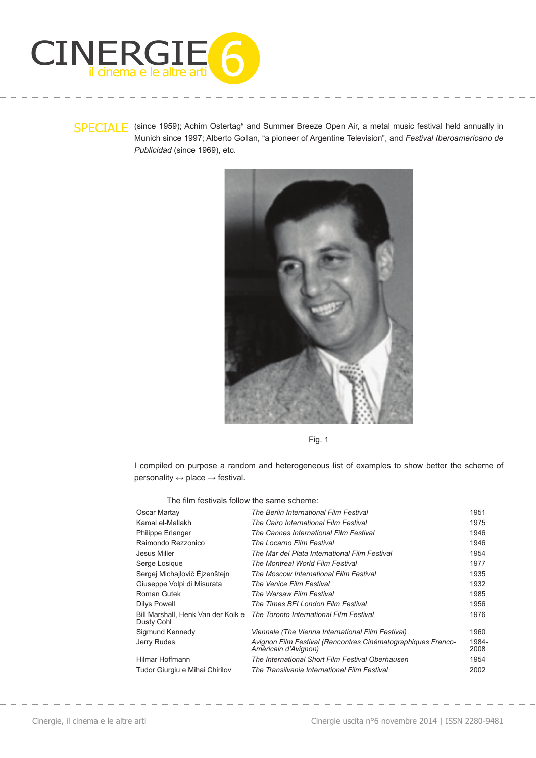

SPECIALE (since 1959); Achim Ostertag<sup>5</sup> and Summer Breeze Open Air, a metal music festival held annually in Munich since 1997; Alberto Gollan, "a pioneer of Argentine Television", and *Festival Iberoamericano de Publicidad* (since 1969), etc.



Fig. 1

I compiled on purpose a random and heterogeneous list of examples to show better the scheme of  $personality \leftrightarrow place \rightarrow festival$ .

The film festivals follow the same scheme:

| Oscar Martay                   | The Berlin International Film Festival                                               | 1951          |
|--------------------------------|--------------------------------------------------------------------------------------|---------------|
| Kamal el-Mallakh               | The Cairo International Film Festival                                                | 1975          |
| Philippe Erlanger              | The Cannes International Film Festival                                               | 1946          |
| Raimondo Rezzonico             | The Locarno Film Festival                                                            | 1946          |
| Jesus Miller                   | The Mar del Plata International Film Festival                                        | 1954          |
| Serge Losigue                  | The Montreal World Film Festival                                                     | 1977          |
| Sergej Michajlovič Ejzenštejn  | The Moscow International Film Festival                                               | 1935          |
| Giuseppe Volpi di Misurata     | The Venice Film Festival                                                             | 1932          |
| Roman Gutek                    | The Warsaw Film Festival                                                             | 1985          |
| <b>Dilys Powell</b>            | The Times BFI London Film Festival                                                   | 1956          |
| Dusty Cohl                     | Bill Marshall, Henk Van der Kolk e The Toronto International Film Festival           | 1976          |
| Sigmund Kennedy                | Viennale (The Vienna International Film Festival)                                    | 1960          |
| Jerry Rudes                    | Avignon Film Festival (Rencontres Cinématographiques Franco-<br>Américain d'Avignon) | 1984-<br>2008 |
| Hilmar Hoffmann                | The International Short Film Festival Oberhausen                                     | 1954          |
| Tudor Giurgiu e Mihai Chirilov | The Transilvania International Film Festival                                         | 2002          |
|                                |                                                                                      |               |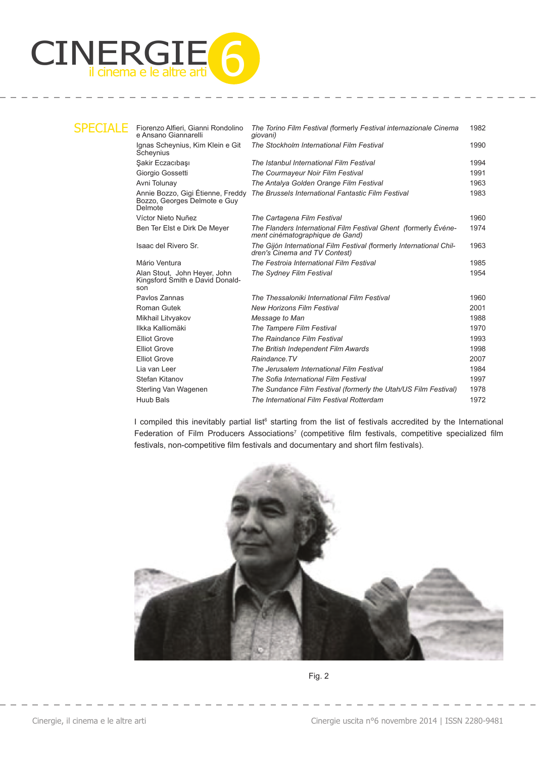

|  | -- |     | - -<br>__ |
|--|----|-----|-----------|
|  |    | . . |           |
|  |    | ٠   |           |
|  |    |     |           |

| Fiorenzo Alfieri, Gianni Rondolino<br>e Ansano Giannarelli                   | The Torino Film Festival (formerly Festival internazionale Cinema<br>qiovani)                        | 1982 |
|------------------------------------------------------------------------------|------------------------------------------------------------------------------------------------------|------|
| Ignas Scheynius, Kim Klein e Git<br>Scheynius                                | The Stockholm International Film Festival                                                            | 1990 |
| Şakir Eczacıbaşı                                                             | The Istanbul International Film Festival                                                             | 1994 |
| Giorgio Gossetti                                                             | The Courmayeur Noir Film Festival                                                                    | 1991 |
| Avni Tolunav                                                                 | The Antalya Golden Orange Film Festival                                                              | 1963 |
| Annie Bozzo, Gigi Étienne, Freddy<br>Bozzo, Georges Delmote e Guy<br>Delmote | The Brussels International Fantastic Film Festival                                                   | 1983 |
| Víctor Nieto Nuñez                                                           | The Cartagena Film Festival                                                                          | 1960 |
| Ben Ter Elst e Dirk De Meyer                                                 | The Flanders International Film Festival Ghent (formerly Evéne-<br>ment cinématographique de Gand)   | 1974 |
| Isaac del Rivero Sr.                                                         | The Gijón International Film Festival (formerly International Chil-<br>dren's Cinema and TV Contest) | 1963 |
| Mário Ventura                                                                | The Festroia International Film Festival                                                             | 1985 |
| Alan Stout, John Heyer, John<br>Kingsford Smith e David Donald-<br>son       | The Sydney Film Festival                                                                             | 1954 |
| Pavlos Zannas                                                                | The Thessaloniki International Film Festival                                                         | 1960 |
| Roman Gutek                                                                  | <b>New Horizons Film Festival</b>                                                                    | 2001 |
| Mikhail Litvyakov                                                            | Message to Man                                                                                       | 1988 |
| Ilkka Kalliomäki                                                             | The Tampere Film Festival                                                                            | 1970 |
| <b>Elliot Grove</b>                                                          | The Raindance Film Festival                                                                          | 1993 |
| <b>Elliot Grove</b>                                                          | The British Independent Film Awards                                                                  | 1998 |
| <b>Elliot Grove</b>                                                          | Raindance, TV                                                                                        | 2007 |
| Lia van Leer                                                                 | The Jerusalem International Film Festival                                                            | 1984 |
| Stefan Kitanov                                                               | The Sofia International Film Festival                                                                | 1997 |
| Sterling Van Wagenen                                                         | The Sundance Film Festival (formerly the Utah/US Film Festival)                                      | 1978 |
| Huub Bals                                                                    | The International Film Festival Rotterdam                                                            | 1972 |

I compiled this inevitably partial list<sup>6</sup> starting from the list of festivals accredited by the International Federation of Film Producers Associations<sup>7</sup> (competitive film festivals, competitive specialized film festivals, non-competitive film festivals and documentary and short film festivals).



Fig. 2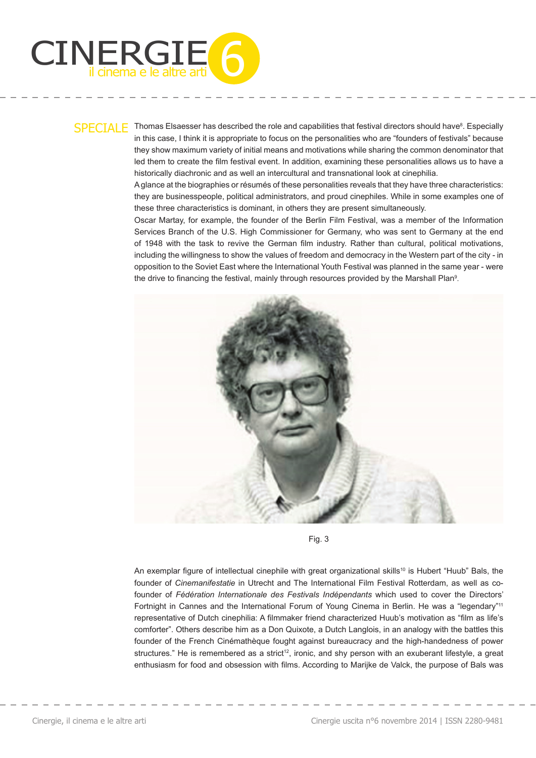

SPECIALE Thomas Elsaesser has described the role and capabilities that festival directors should have<sup>8</sup>. Especially in this case, I think it is appropriate to focus on the personalities who are "founders of festivals" because they show maximum variety of initial means and motivations while sharing the common denominator that led them to create the film festival event. In addition, examining these personalities allows us to have a historically diachronic and as well an intercultural and transnational look at cinephilia.

> A glance at the biographies or résumés of these personalities reveals that they have three characteristics: they are businesspeople, political administrators, and proud cinephiles. While in some examples one of these three characteristics is dominant, in others they are present simultaneously.

> Oscar Martay, for example, the founder of the Berlin Film Festival, was a member of the Information Services Branch of the U.S. High Commissioner for Germany, who was sent to Germany at the end of 1948 with the task to revive the German film industry. Rather than cultural, political motivations, including the willingness to show the values of freedom and democracy in the Western part of the city - in opposition to the Soviet East where the International Youth Festival was planned in the same year - were the drive to financing the festival, mainly through resources provided by the Marshall Plan<sup>9</sup>.





An exemplar figure of intellectual cinephile with great organizational skills<sup>10</sup> is Hubert "Huub" Bals, the founder of *Cinemanifestatie* in Utrecht and The International Film Festival Rotterdam, as well as cofounder of *Fédération Internationale des Festivals Indépendants* which used to cover the Directors' Fortnight in Cannes and the International Forum of Young Cinema in Berlin. He was a "legendary"<sup>11</sup> representative of Dutch cinephilia: A filmmaker friend characterized Huub's motivation as "film as life's comforter". Others describe him as a Don Quixote, a Dutch Langlois, in an analogy with the battles this founder of the French Cinémathèque fought against bureaucracy and the high-handedness of power structures." He is remembered as a strict<sup>12</sup>, ironic, and shy person with an exuberant lifestyle, a great enthusiasm for food and obsession with films. According to Marijke de Valck, the purpose of Bals was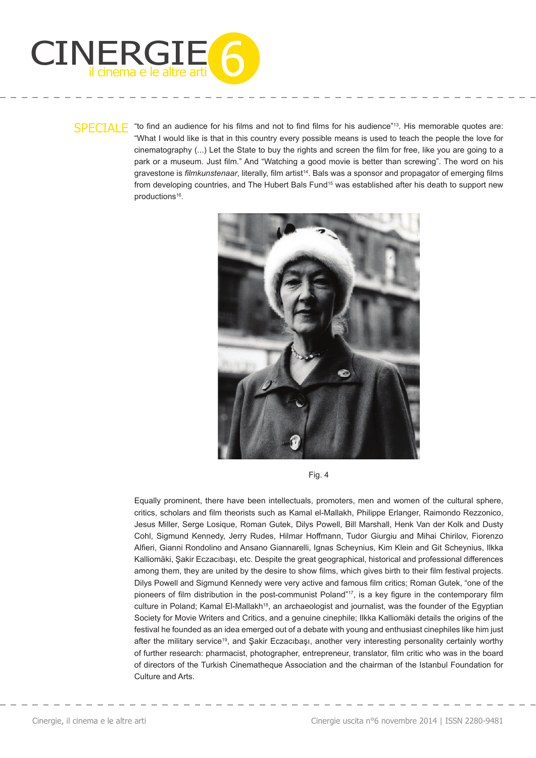

SPECIALE "to find an audience for his films and not to find films for his audience"<sup>13</sup>. His memorable quotes are: "What I would like is that in this country every possible means is used to teach the people the love for cinematography (...) Let the State to buy the rights and screen the film for free, like you are going to a park or a museum. Just film." And "Watching a good movie is better than screwing". The word on his gravestone is *filmkunstenaar*, literally, film artist<sup>14</sup>. Bals was a sponsor and propagator of emerging films from developing countries, and The Hubert Bals Fund<sup>15</sup> was established after his death to support new productions<sup>16</sup>.



Fig. 4

Equally prominent, there have been intellectuals, promoters, men and women of the cultural sphere, critics, scholars and film theorists such as Kamal el-Mallakh, Philippe Erlanger, Raimondo Rezzonico, Jesus Miller, Serge Losique, Roman Gutek, Dilys Powell, Bill Marshall, Henk Van der Kolk and Dusty Cohl, Sigmund Kennedy, Jerry Rudes, Hilmar Hoffmann, Tudor Giurgiu and Mihai Chirilov, Fiorenzo Alfieri, Gianni Rondolino and Ansano Giannarelli, Ignas Scheynius, Kim Klein and Git Scheynius, Ilkka Kalliomäki, Şakir Eczacıbaşı, etc. Despite the great geographical, historical and professional differences among them, they are united by the desire to show films, which gives birth to their film festival projects. Dilys Powell and Sigmund Kennedy were very active and famous film critics; Roman Gutek, "one of the pioneers of film distribution in the post-communist Poland"<sup>17</sup>, is a key figure in the contemporary film culture in Poland; Kamal El-Mallakh18, an archaeologist and journalist, was the founder of the Egyptian Society for Movie Writers and Critics, and a genuine cinephile; Ilkka Kalliomäki details the origins of the festival he founded as an idea emerged out of a debate with young and enthusiast cinephiles like him just after the military service<sup>19</sup>, and Şakir Eczacıbaşı, another very interesting personality certainly worthy of further research: pharmacist, photographer, entrepreneur, translator, film critic who was in the board of directors of the Turkish Cinematheque Association and the chairman of the Istanbul Foundation for Culture and Arts.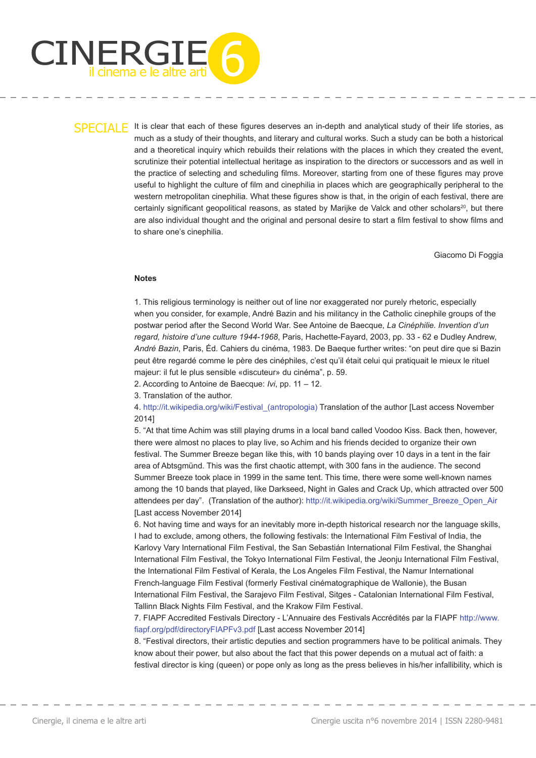

SPECIALE It is clear that each of these figures deserves an in-depth and analytical study of their life stories, as much as a study of their thoughts, and literary and cultural works. Such a study can be both a historical and a theoretical inquiry which rebuilds their relations with the places in which they created the event, scrutinize their potential intellectual heritage as inspiration to the directors or successors and as well in the practice of selecting and scheduling films. Moreover, starting from one of these figures may prove useful to highlight the culture of film and cinephilia in places which are geographically peripheral to the western metropolitan cinephilia. What these figures show is that, in the origin of each festival, there are certainly significant geopolitical reasons, as stated by Marijke de Valck and other scholars<sup>20</sup>, but there are also individual thought and the original and personal desire to start a film festival to show films and to share one's cinephilia.

Giacomo Di Foggia

### **Notes**

1. This religious terminology is neither out of line nor exaggerated nor purely rhetoric, especially when you consider, for example, André Bazin and his militancy in the Catholic cinephile groups of the postwar period after the Second World War. See Antoine de Baecque, *La Cinéphilie. Invention d'un regard, histoire d'une culture 1944-1968*, Paris, Hachette-Fayard, 2003, pp. 33 - 62 e Dudley Andrew, *André Bazin*, Paris, Éd. Cahiers du cinéma, 1983. De Baeque further writes: "on peut dire que si Bazin peut être regardé comme le père des cinéphiles, c'est qu'il était celui qui pratiquait le mieux le rituel majeur: il fut le plus sensible «discuteur» du cinéma", p. 59.

2. According to Antoine de Baecque: *Ivi*, pp. 11 – 12.

3. Translation of the author.

4. http://it.wikipedia.org/wiki/Festival\_(antropologia) Translation of the author [Last access November 2014]

5. "At that time Achim was still playing drums in a local band called Voodoo Kiss. Back then, however, there were almost no places to play live, so Achim and his friends decided to organize their own festival. The Summer Breeze began like this, with 10 bands playing over 10 days in a tent in the fair area of Abtsgmünd. This was the first chaotic attempt, with 300 fans in the audience. The second Summer Breeze took place in 1999 in the same tent. This time, there were some well-known names among the 10 bands that played, like Darkseed, Night in Gales and Crack Up, which attracted over 500 attendees per day". (Translation of the author): http://it.wikipedia.org/wiki/Summer\_Breeze\_Open\_Air [Last access November 2014]

6. Not having time and ways for an inevitably more in-depth historical research nor the language skills, I had to exclude, among others, the following festivals: the International Film Festival of India, the Karlovy Vary International Film Festival, the San Sebastián International Film Festival, the Shanghai International Film Festival, the Tokyo International Film Festival, the Jeonju International Film Festival, the International Film Festival of Kerala, the Los Angeles Film Festival, the Namur International French-language Film Festival (formerly Festival cinématographique de Wallonie), the Busan International Film Festival, the Sarajevo Film Festival, Sitges - Catalonian International Film Festival, Tallinn Black Nights Film Festival, and the Krakow Film Festival.

7. FIAPF Accredited Festivals Directory - L'Annuaire des Festivals Accrédités par la FIAPF http://www. fiapf.org/pdf/directoryFIAPFv3.pdf [Last access November 2014]

8. "Festival directors, their artistic deputies and section programmers have to be political animals. They know about their power, but also about the fact that this power depends on a mutual act of faith: a festival director is king (queen) or pope only as long as the press believes in his/her infallibility, which is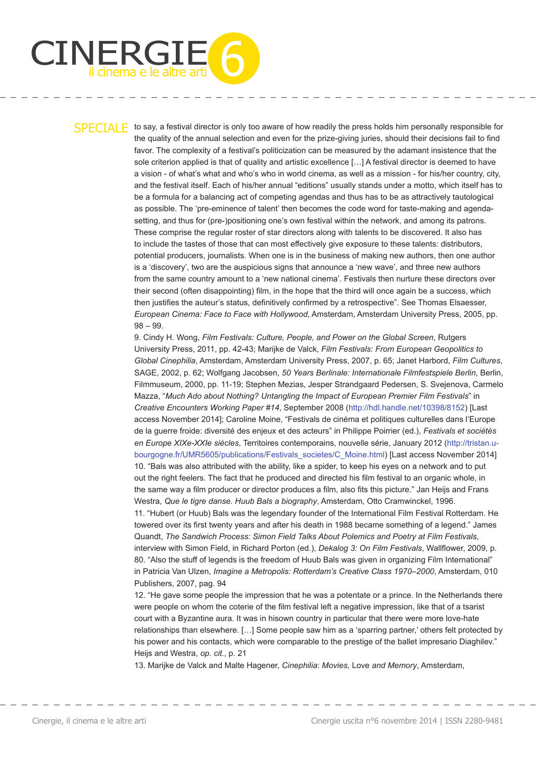

SPECIALE to say, a festival director is only too aware of how readily the press holds him personally responsible for the quality of the annual selection and even for the prize-giving juries, should their decisions fail to find favor. The complexity of a festival's politicization can be measured by the adamant insistence that the sole criterion applied is that of quality and artistic excellence [...] A festival director is deemed to have a vision - of what's what and who's who in world cinema, as well as a mission - for his/her country, city, and the festival itself. Each of his/her annual "editions" usually stands under a motto, which itself has to be a formula for a balancing act of competing agendas and thus has to be as attractively tautological as possible. The 'pre-eminence of talent' then becomes the code word for taste-making and agendasetting, and thus for (pre-)positioning one's own festival within the network, and among its patrons. These comprise the regular roster of star directors along with talents to be discovered. It also has to include the tastes of those that can most effectively give exposure to these talents: distributors, potential producers, journalists. When one is in the business of making new authors, then one author is a 'discovery', two are the auspicious signs that announce a 'new wave', and three new authors from the same country amount to a 'new national cinema'. Festivals then nurture these directors over their second (often disappointing) film, in the hope that the third will once again be a success, which then justifies the auteur's status, definitively confirmed by a retrospective". See Thomas Elsaesser, *European Cinema: Face to Face with Hollywood*, Amsterdam, Amsterdam University Press, 2005, pp. 98 – 99.

> 9. Cindy H. Wong, *Film Festivals: Culture, People, and Power on the Global Screen*, Rutgers University Press, 2011, pp. 42-43; Marijke de Valck, *Film Festivals: From European Geopolitics to Global Cinephilia*, Amsterdam, Amsterdam University Press, 2007, p. 65; Janet Harbord, *Film Cultures*, SAGE, 2002, p. 62; Wolfgang Jacobsen, *50 Years Berlinale: Internationale Filmfestspiele Berlin*, Berlin, Filmmuseum, 2000, pp. 11-19; Stephen Mezias, Jesper Strandgaard Pedersen, S. Svejenova, Carmelo Mazza, "*Much Ado about Nothing? Untangling the Impact of European Premier Film Festivals*" in *Creative Encounters Working Paper #14*, September 2008 (http://hdl.handle.net/10398/8152) [Last access November 2014]; Caroline Moine, "Festivals de cinéma et politiques culturelles dans l'Europe de la guerre froide: diversité des enjeux et des acteurs" in Philippe Poirrier (ed.), *Festivals et sociétés en Europe XIXe-XXIe siècles*, Territoires contemporains, nouvelle série, January 2012 (http://tristan.ubourgogne.fr/UMR5605/publications/Festivals\_societes/C\_Moine.html) [Last access November 2014] 10. "Bals was also attributed with the ability, like a spider, to keep his eyes on a network and to put out the right feelers. The fact that he produced and directed his film festival to an organic whole, in the same way a film producer or director produces a film, also fits this picture." Jan Heijs and Frans Westra, *Que le tigre danse. Huub Bals a biography*, Amsterdam, Otto Cramwinckel, 1996. 11. "Hubert (or Huub) Bals was the legendary founder of the International Film Festival Rotterdam. He towered over its first twenty years and after his death in 1988 became something of a legend." James Quandt, *The Sandwich Process: Simon Field Talks About Polemics and Poetry at Film Festivals*, interview with Simon Field, in Richard Porton (ed.), *Dekalog 3: On Film Festivals*, Wallflower, 2009, p. 80. "Also the stuff of legends is the freedom of Huub Bals was given in organizing Film International" in Patricia Van Ulzen, *Imagine a Metropolis: Rotterdam's Creative Class 1970–2000*, Amsterdam, 010 Publishers, 2007, pag. 94

> 12. "He gave some people the impression that he was a potentate or a prince. In the Netherlands there were people on whom the coterie of the film festival left a negative impression, like that of a tsarist court with a Byzantine aura. It was in hisown country in particular that there were more love-hate relationships than elsewhere. […] Some people saw him as a 'sparring partner,' others felt protected by his power and his contacts, which were comparable to the prestige of the ballet impresario Diaghilev." Heijs and Westra, *op. cit.*, p. 21

13. Marijke de Valck and Malte Hagener, *Cinephilia*: *Movies,* Love *and Memory*, Amsterdam,